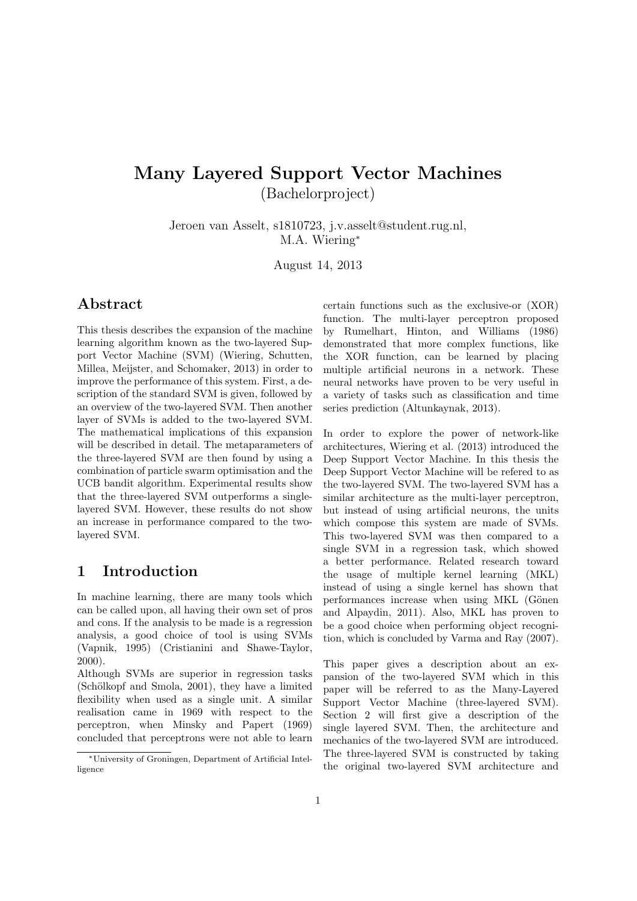# Many Layered Support Vector Machines (Bachelorproject)

Jeroen van Asselt, s1810723, j.v.asselt@student.rug.nl, M.A. Wiering<sup>∗</sup>

August 14, 2013

## Abstract

This thesis describes the expansion of the machine learning algorithm known as the two-layered Support Vector Machine (SVM) (Wiering, Schutten, Millea, Meijster, and Schomaker, 2013) in order to improve the performance of this system. First, a description of the standard SVM is given, followed by an overview of the two-layered SVM. Then another layer of SVMs is added to the two-layered SVM. The mathematical implications of this expansion will be described in detail. The metaparameters of the three-layered SVM are then found by using a combination of particle swarm optimisation and the UCB bandit algorithm. Experimental results show that the three-layered SVM outperforms a singlelayered SVM. However, these results do not show an increase in performance compared to the twolayered SVM.

# 1 Introduction

In machine learning, there are many tools which can be called upon, all having their own set of pros and cons. If the analysis to be made is a regression analysis, a good choice of tool is using SVMs (Vapnik, 1995) (Cristianini and Shawe-Taylor, 2000).

Although SVMs are superior in regression tasks  $(Schölkopf and Smola, 2001)$ , they have a limited flexibility when used as a single unit. A similar realisation came in 1969 with respect to the perceptron, when Minsky and Papert (1969) concluded that perceptrons were not able to learn

certain functions such as the exclusive-or (XOR) function. The multi-layer perceptron proposed by Rumelhart, Hinton, and Williams (1986) demonstrated that more complex functions, like the XOR function, can be learned by placing multiple artificial neurons in a network. These neural networks have proven to be very useful in a variety of tasks such as classification and time series prediction (Altunkaynak, 2013).

In order to explore the power of network-like architectures, Wiering et al. (2013) introduced the Deep Support Vector Machine. In this thesis the Deep Support Vector Machine will be refered to as the two-layered SVM. The two-layered SVM has a similar architecture as the multi-layer perceptron, but instead of using artificial neurons, the units which compose this system are made of SVMs. This two-layered SVM was then compared to a single SVM in a regression task, which showed a better performance. Related research toward the usage of multiple kernel learning (MKL) instead of using a single kernel has shown that performances increase when using MKL (Gönen and Alpaydin, 2011). Also, MKL has proven to be a good choice when performing object recognition, which is concluded by Varma and Ray (2007).

This paper gives a description about an expansion of the two-layered SVM which in this paper will be referred to as the Many-Layered Support Vector Machine (three-layered SVM). Section 2 will first give a description of the single layered SVM. Then, the architecture and mechanics of the two-layered SVM are introduced. The three-layered SVM is constructed by taking the original two-layered SVM architecture and

<sup>∗</sup>University of Groningen, Department of Artificial Intelligence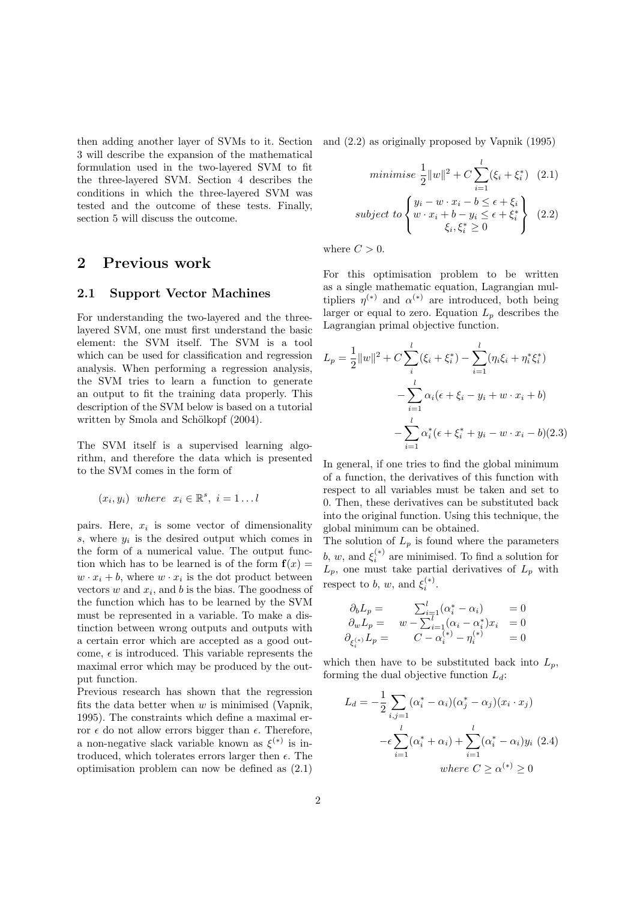then adding another layer of SVMs to it. Section 3 will describe the expansion of the mathematical formulation used in the two-layered SVM to fit the three-layered SVM. Section 4 describes the conditions in which the three-layered SVM was tested and the outcome of these tests. Finally, section 5 will discuss the outcome.

## 2 Previous work

#### 2.1 Support Vector Machines

For understanding the two-layered and the threelayered SVM, one must first understand the basic element: the SVM itself. The SVM is a tool which can be used for classification and regression analysis. When performing a regression analysis, the SVM tries to learn a function to generate an output to fit the training data properly. This description of the SVM below is based on a tutorial written by Smola and Schölkopf (2004).

The SVM itself is a supervised learning algorithm, and therefore the data which is presented to the SVM comes in the form of

$$
(x_i, y_i)
$$
 where  $x_i \in \mathbb{R}^s$ ,  $i = 1...l$ 

pairs. Here,  $x_i$  is some vector of dimensionality  $s$ , where  $y_i$  is the desired output which comes in the form of a numerical value. The output function which has to be learned is of the form  $f(x) =$  $w \cdot x_i + b$ , where  $w \cdot x_i$  is the dot product between vectors  $w$  and  $x_i$ , and  $b$  is the bias. The goodness of the function which has to be learned by the SVM must be represented in a variable. To make a distinction between wrong outputs and outputs with a certain error which are accepted as a good outcome,  $\epsilon$  is introduced. This variable represents the maximal error which may be produced by the output function.

Previous research has shown that the regression fits the data better when  $w$  is minimised (Vapnik, 1995). The constraints which define a maximal error  $\epsilon$  do not allow errors bigger than  $\epsilon$ . Therefore, a non-negative slack variable known as  $\xi^{(*)}$  is introduced, which tolerates errors larger then  $\epsilon$ . The optimisation problem can now be defined as (2.1)

and (2.2) as originally proposed by Vapnik (1995)

$$
minimise \frac{1}{2} ||w||^2 + C \sum_{i=1}^{l} (\xi_i + \xi_i^*) \quad (2.1)
$$
  

$$
subject \ to \begin{cases} y_i - w \cdot x_i - b \le \epsilon + \xi_i \\ w \cdot x_i + b - y_i \le \epsilon + \xi_i^* \\ \xi_i, \xi_i^* \ge 0 \end{cases} \quad (2.2)
$$

where  $C > 0$ .

For this optimisation problem to be written as a single mathematic equation, Lagrangian multipliers  $\eta^{(*)}$  and  $\alpha^{(*)}$  are introduced, both being larger or equal to zero. Equation  $L_p$  describes the Lagrangian primal objective function.

$$
L_p = \frac{1}{2} ||w||^2 + C \sum_{i}^{l} (\xi_i + \xi_i^*) - \sum_{i=1}^{l} (\eta_i \xi_i + \eta_i^* \xi_i^*)
$$
  

$$
- \sum_{i=1}^{l} \alpha_i (\epsilon + \xi_i - y_i + w \cdot x_i + b)
$$
  

$$
- \sum_{i=1}^{l} \alpha_i^* (\epsilon + \xi_i^* + y_i - w \cdot x_i - b) (2.3)
$$

In general, if one tries to find the global minimum of a function, the derivatives of this function with respect to all variables must be taken and set to 0. Then, these derivatives can be substituted back into the original function. Using this technique, the global minimum can be obtained.

The solution of  $L_p$  is found where the parameters b, w, and  $\xi_i^{(*)}$  are minimised. To find a solution for  $L_p$ , one must take partial derivatives of  $L_p$  with respect to b, w, and  $\xi_i^{(*)}$ .

$$
\begin{array}{rcl}\n\partial_b L_p = & \sum_{i=1}^l (\alpha_i^* - \alpha_i) & = 0 \\
\partial_w L_p = & w - \sum_{i=1}^l (\alpha_i - \alpha_i^*) x_i & = 0 \\
\partial_{\xi_i^{(*)}} L_p = & C - \alpha_i^{(*)} - \eta_i^{(*)} & = 0\n\end{array}
$$

which then have to be substituted back into  $L_p$ , forming the dual objective function  $L_d$ :

$$
L_d = -\frac{1}{2} \sum_{i,j=1} (\alpha_i^* - \alpha_i)(\alpha_j^* - \alpha_j)(x_i \cdot x_j)
$$

$$
-\epsilon \sum_{i=1}^l (\alpha_i^* + \alpha_i) + \sum_{i=1}^l (\alpha_i^* - \alpha_i)y_i \ (2.4)
$$
  
where  $C \ge \alpha^{(*)} \ge 0$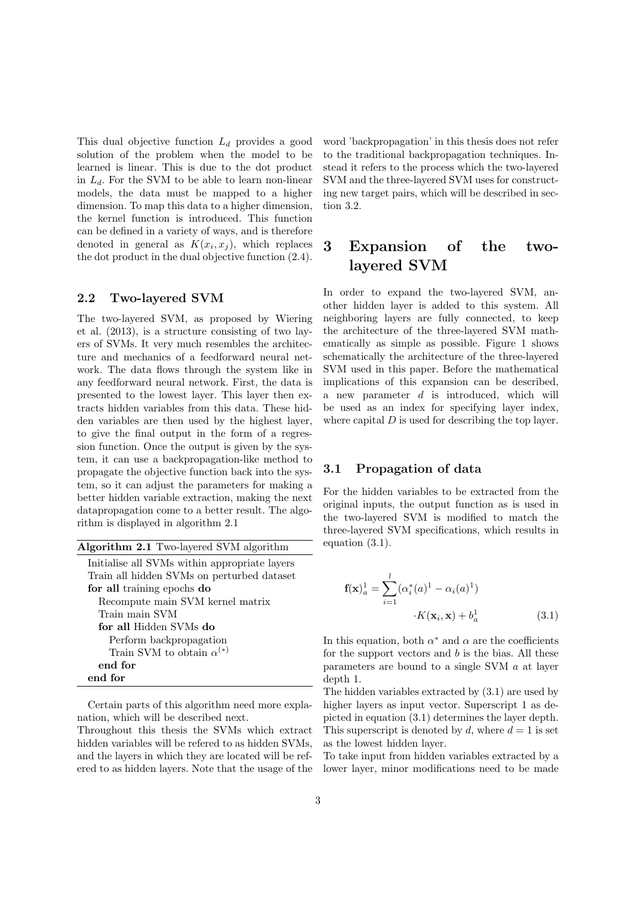This dual objective function  $L_d$  provides a good solution of the problem when the model to be learned is linear. This is due to the dot product in  $L_d$ . For the SVM to be able to learn non-linear models, the data must be mapped to a higher dimension. To map this data to a higher dimension, the kernel function is introduced. This function can be defined in a variety of ways, and is therefore denoted in general as  $K(x_i, x_j)$ , which replaces the dot product in the dual objective function (2.4).

## 2.2 Two-layered SVM

The two-layered SVM, as proposed by Wiering et al. (2013), is a structure consisting of two layers of SVMs. It very much resembles the architecture and mechanics of a feedforward neural network. The data flows through the system like in any feedforward neural network. First, the data is presented to the lowest layer. This layer then extracts hidden variables from this data. These hidden variables are then used by the highest layer, to give the final output in the form of a regression function. Once the output is given by the system, it can use a backpropagation-like method to propagate the objective function back into the system, so it can adjust the parameters for making a better hidden variable extraction, making the next datapropagation come to a better result. The algorithm is displayed in algorithm 2.1

Algorithm 2.1 Two-layered SVM algorithm

| Initialise all SVMs within appropriate layers |
|-----------------------------------------------|
| Train all hidden SVMs on perturbed dataset    |
| for all training epochs do                    |
| Recompute main SVM kernel matrix              |
| Train main SVM                                |
| for all Hidden SVMs do                        |
| Perform backpropagation                       |
| Train SVM to obtain $\alpha^{(*)}$            |
| end for                                       |
| end for                                       |

Certain parts of this algorithm need more explanation, which will be described next.

Throughout this thesis the SVMs which extract hidden variables will be refered to as hidden SVMs, and the layers in which they are located will be refered to as hidden layers. Note that the usage of the word 'backpropagation' in this thesis does not refer to the traditional backpropagation techniques. Instead it refers to the process which the two-layered SVM and the three-layered SVM uses for constructing new target pairs, which will be described in section 3.2.

# 3 Expansion of the twolayered SVM

In order to expand the two-layered SVM, another hidden layer is added to this system. All neighboring layers are fully connected, to keep the architecture of the three-layered SVM mathematically as simple as possible. Figure 1 shows schematically the architecture of the three-layered SVM used in this paper. Before the mathematical implications of this expansion can be described, a new parameter  $d$  is introduced, which will be used as an index for specifying layer index, where capital  $D$  is used for describing the top layer.

### 3.1 Propagation of data

For the hidden variables to be extracted from the original inputs, the output function as is used in the two-layered SVM is modified to match the three-layered SVM specifications, which results in equation (3.1).

$$
\mathbf{f}(\mathbf{x})_a^1 = \sum_{i=1}^l (\alpha_i^*(a)^1 - \alpha_i(a)^1)
$$

$$
\cdot K(\mathbf{x}_i, \mathbf{x}) + b_a^1
$$
(3.1)

In this equation, both  $\alpha^*$  and  $\alpha$  are the coefficients for the support vectors and  $b$  is the bias. All these parameters are bound to a single SVM a at layer depth 1.

The hidden variables extracted by (3.1) are used by higher layers as input vector. Superscript 1 as depicted in equation (3.1) determines the layer depth. This superscript is denoted by d, where  $d = 1$  is set as the lowest hidden layer.

To take input from hidden variables extracted by a lower layer, minor modifications need to be made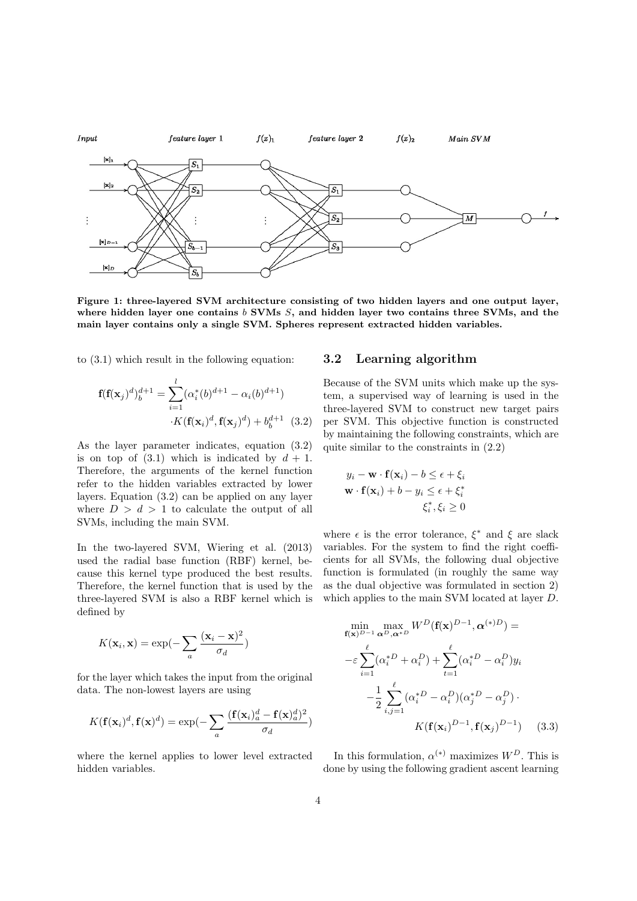

Figure 1: three-layered SVM architecture consisting of two hidden layers and one output layer, where hidden layer one contains  $b$  SVMs  $S$ , and hidden layer two contains three SVMs, and the main layer contains only a single SVM. Spheres represent extracted hidden variables.

to (3.1) which result in the following equation:

$$
\mathbf{f}(\mathbf{f}(\mathbf{x}_j)^d)^{d+1}_b = \sum_{i=1}^l (\alpha_i^*(b)^{d+1} - \alpha_i(b)^{d+1})
$$

$$
\cdot K(\mathbf{f}(\mathbf{x}_i)^d, \mathbf{f}(\mathbf{x}_j)^d) + b_b^{d+1} \quad (3.2)
$$

As the layer parameter indicates, equation (3.2) is on top of  $(3.1)$  which is indicated by  $d + 1$ . Therefore, the arguments of the kernel function refer to the hidden variables extracted by lower layers. Equation (3.2) can be applied on any layer where  $D > d > 1$  to calculate the output of all SVMs, including the main SVM.

In the two-layered SVM, Wiering et al. (2013) used the radial base function (RBF) kernel, because this kernel type produced the best results. Therefore, the kernel function that is used by the three-layered SVM is also a RBF kernel which is defined by

$$
K(\mathbf{x}_i, \mathbf{x}) = \exp(-\sum_a \frac{(\mathbf{x}_i - \mathbf{x})^2}{\sigma_d})
$$

for the layer which takes the input from the original data. The non-lowest layers are using

$$
K(\mathbf{f}(\mathbf{x}_i)^d, \mathbf{f}(\mathbf{x})^d) = \exp(-\sum_a \frac{(\mathbf{f}(\mathbf{x}_i)^d_a - \mathbf{f}(\mathbf{x})^d_a)^2}{\sigma_d})
$$

where the kernel applies to lower level extracted hidden variables.

#### 3.2 Learning algorithm

Because of the SVM units which make up the system, a supervised way of learning is used in the three-layered SVM to construct new target pairs per SVM. This objective function is constructed by maintaining the following constraints, which are quite similar to the constraints in (2.2)

$$
y_i - \mathbf{w} \cdot \mathbf{f}(\mathbf{x}_i) - b \le \epsilon + \xi_i
$$
  

$$
\mathbf{w} \cdot \mathbf{f}(\mathbf{x}_i) + b - y_i \le \epsilon + \xi_i^*
$$
  

$$
\xi_i^*, \xi_i \ge 0
$$

where  $\epsilon$  is the error tolerance,  $\xi^*$  and  $\xi$  are slack variables. For the system to find the right coefficients for all SVMs, the following dual objective function is formulated (in roughly the same way as the dual objective was formulated in section 2) which applies to the main SVM located at layer D.

$$
\min_{\mathbf{f}(\mathbf{x})^{D-1}} \max_{\mathbf{\alpha}^{D}, \mathbf{\alpha}^{*D}} W^{D}(\mathbf{f}(\mathbf{x})^{D-1}, \mathbf{\alpha}^{(*)D}) =
$$

$$
-\varepsilon \sum_{i=1}^{\ell} (\alpha_{i}^{*D} + \alpha_{i}^{D}) + \sum_{t=1}^{\ell} (\alpha_{i}^{*D} - \alpha_{i}^{D}) y_{i}
$$

$$
-\frac{1}{2} \sum_{i,j=1}^{\ell} (\alpha_{i}^{*D} - \alpha_{i}^{D}) (\alpha_{j}^{*D} - \alpha_{j}^{D}) \cdot K(\mathbf{f}(\mathbf{x}_{i})^{D-1}, \mathbf{f}(\mathbf{x}_{j})^{D-1}) \qquad (3.3)
$$

In this formulation,  $\alpha^{(*)}$  maximizes  $W^D$ . This is done by using the following gradient ascent learning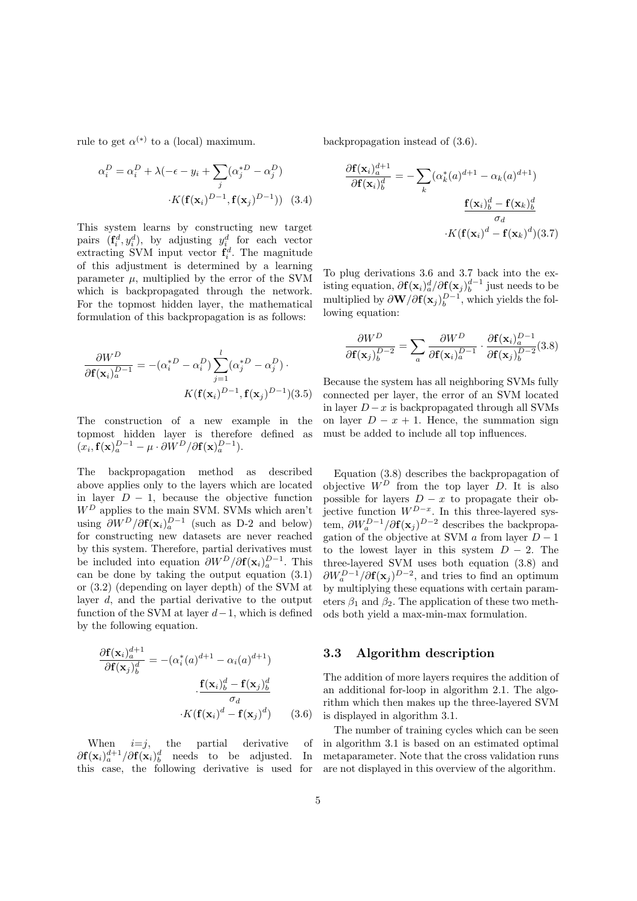rule to get  $\alpha^{(*)}$  to a (local) maximum.

$$
\alpha_i^D = \alpha_i^D + \lambda(-\epsilon - y_i + \sum_j (\alpha_j^* D - \alpha_j^D)
$$

$$
\cdot K(\mathbf{f}(\mathbf{x}_i)^{D-1}, \mathbf{f}(\mathbf{x}_j)^{D-1})) \quad (3.4)
$$

This system learns by constructing new target pairs  $(\mathbf{f}_i^d, y_i^d)$ , by adjusting  $y_i^d$  for each vector extracting SVM input vector  $\mathbf{f}_i^d$ . The magnitude of this adjustment is determined by a learning parameter  $\mu$ , multiplied by the error of the SVM which is backpropagated through the network. For the topmost hidden layer, the mathematical formulation of this backpropagation is as follows:

$$
\frac{\partial W^D}{\partial \mathbf{f}(\mathbf{x}_i)_a^{D-1}} = -(\alpha_i^{*D} - \alpha_i^D) \sum_{j=1}^l (\alpha_j^{*D} - \alpha_j^D) \cdot K(\mathbf{f}(\mathbf{x}_i)^{D-1}, \mathbf{f}(\mathbf{x}_j)^{D-1})(3.5)
$$

The construction of a new example in the topmost hidden layer is therefore defined as  $(x_i, \mathbf{f}(\mathbf{x})_a^{D-1} - \mu \cdot \partial W^D / \partial \mathbf{f}(\mathbf{x})_a^{D-1}).$ 

The backpropagation method as described above applies only to the layers which are located in layer  $D - 1$ , because the objective function  $W^D$  applies to the main SVM. SVMs which aren't using  $\partial W^D / \partial \mathbf{f}(\mathbf{x}_i)_{a}^{D-1}$  (such as D-2 and below) for constructing new datasets are never reached by this system. Therefore, partial derivatives must be included into equation  $\partial W^D / \partial \mathbf{f}(\mathbf{x}_i)_{a}^{D-1}$ . This can be done by taking the output equation (3.1) or (3.2) (depending on layer depth) of the SVM at layer d, and the partial derivative to the output function of the SVM at layer  $d-1$ , which is defined by the following equation.

$$
\frac{\partial \mathbf{f}(\mathbf{x}_i)_{a}^{d+1}}{\partial \mathbf{f}(\mathbf{x}_j)_{b}^{d}} = -(\alpha_i^*(a)^{d+1} - \alpha_i(a)^{d+1})
$$
\n
$$
\cdot \frac{\mathbf{f}(\mathbf{x}_i)_{b}^{d} - \mathbf{f}(\mathbf{x}_j)_{b}^{d}}{\sigma_d}
$$
\n
$$
\cdot K(\mathbf{f}(\mathbf{x}_i)^d - \mathbf{f}(\mathbf{x}_j)^d) \qquad (3.6)
$$

When  $i=j$ , the partial derivative of  $\partial f(\mathbf{x}_i)^{d+1}_{a}/\partial f(\mathbf{x}_i)^{d}_{b}$  needs to be adjusted. In this case, the following derivative is used for

backpropagation instead of (3.6).

$$
\frac{\partial \mathbf{f}(\mathbf{x}_i)_a^{d+1}}{\partial \mathbf{f}(\mathbf{x}_i)_b^d} = -\sum_k (\alpha_k^*(a)^{d+1} - \alpha_k(a)^{d+1})
$$

$$
\frac{\mathbf{f}(\mathbf{x}_i)_b^d - \mathbf{f}(\mathbf{x}_k)_b^d}{\sigma_d}
$$

$$
\cdot K(\mathbf{f}(\mathbf{x}_i)^d - \mathbf{f}(\mathbf{x}_k)^d)(3.7)
$$

To plug derivations 3.6 and 3.7 back into the existing equation,  $\partial f(\mathbf{x}_i)^d_a/\partial f(\mathbf{x}_j)^{d-1}_b$  just needs to be multiplied by  $\partial \mathbf{W}/\partial \mathbf{f}(\mathbf{x}_j)_b^{D-1}$ , which yields the following equation:

$$
\frac{\partial W^D}{\partial \mathbf{f}(\mathbf{x}_j)_b^{D-2}} = \sum_a \frac{\partial W^D}{\partial \mathbf{f}(\mathbf{x}_i)_a^{D-1}} \cdot \frac{\partial \mathbf{f}(\mathbf{x}_i)_a^{D-1}}{\partial \mathbf{f}(\mathbf{x}_j)_b^{D-2}} (3.8)
$$

Because the system has all neighboring SVMs fully connected per layer, the error of an SVM located in layer  $D - x$  is backpropagated through all SVMs on layer  $D - x + 1$ . Hence, the summation sign must be added to include all top influences.

Equation (3.8) describes the backpropagation of objective  $W^D$  from the top layer D. It is also possible for layers  $D - x$  to propagate their objective function  $W^{D-x}$ . In this three-layered system,  $\partial W_a^{D-1}/\partial \mathbf{f}(\mathbf{x}_j)^{D-2}$  describes the backpropagation of the objective at SVM  $\alpha$  from layer  $D-1$ to the lowest layer in this system  $D - 2$ . The three-layered SVM uses both equation (3.8) and  $\partial W_a^{D-1}/\partial \mathbf{f}(\mathbf{x}_j)^{D-2}$ , and tries to find an optimum by multiplying these equations with certain parameters  $\beta_1$  and  $\beta_2$ . The application of these two methods both yield a max-min-max formulation.

## 3.3 Algorithm description

The addition of more layers requires the addition of an additional for-loop in algorithm 2.1. The algorithm which then makes up the three-layered SVM is displayed in algorithm 3.1.

The number of training cycles which can be seen in algorithm 3.1 is based on an estimated optimal metaparameter. Note that the cross validation runs are not displayed in this overview of the algorithm.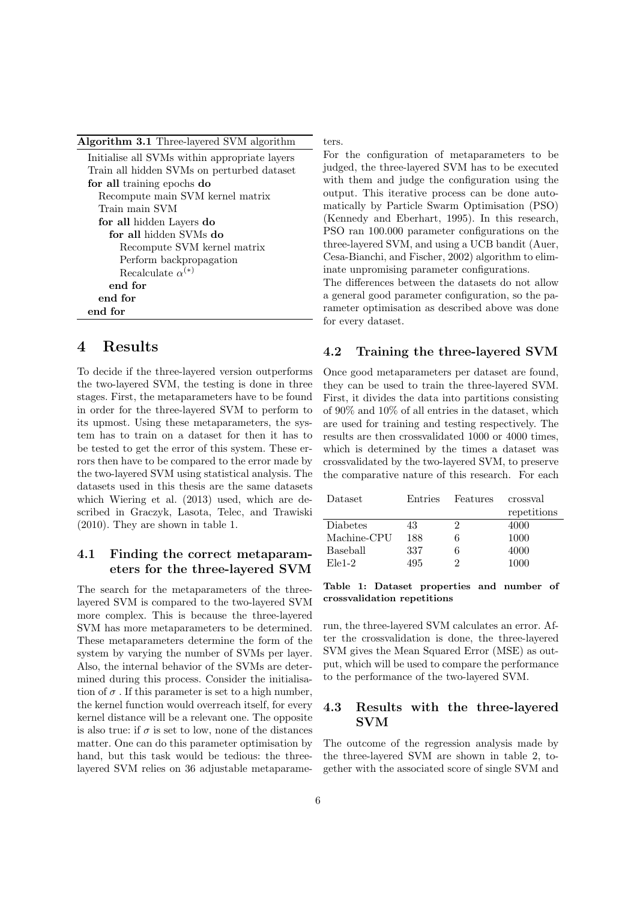| Algorithm 3.1 Three-layered SVM algorithm     |
|-----------------------------------------------|
| Initialise all SVMs within appropriate layers |
| Train all hidden SVMs on perturbed dataset    |
| for all training epochs do                    |
| Recompute main SVM kernel matrix              |
| Train main SVM                                |
| for all hidden Layers do                      |
| for all hidden SVMs do                        |
| Recompute SVM kernel matrix                   |
| Perform backpropagation                       |
| Recalculate $\alpha^{(*)}$                    |
| end for                                       |
| end for                                       |
| end for                                       |

# 4 Results

To decide if the three-layered version outperforms the two-layered SVM, the testing is done in three stages. First, the metaparameters have to be found in order for the three-layered SVM to perform to its upmost. Using these metaparameters, the system has to train on a dataset for then it has to be tested to get the error of this system. These errors then have to be compared to the error made by the two-layered SVM using statistical analysis. The datasets used in this thesis are the same datasets which Wiering et al. (2013) used, which are described in Graczyk, Lasota, Telec, and Trawiski (2010). They are shown in table 1.

## 4.1 Finding the correct metaparameters for the three-layered SVM

The search for the metaparameters of the threelayered SVM is compared to the two-layered SVM more complex. This is because the three-layered SVM has more metaparameters to be determined. These metaparameters determine the form of the system by varying the number of SVMs per layer. Also, the internal behavior of the SVMs are determined during this process. Consider the initialisation of  $\sigma$ . If this parameter is set to a high number, the kernel function would overreach itself, for every kernel distance will be a relevant one. The opposite is also true: if  $\sigma$  is set to low, none of the distances matter. One can do this parameter optimisation by hand, but this task would be tedious: the threelayered SVM relies on 36 adjustable metaparameters.

For the configuration of metaparameters to be judged, the three-layered SVM has to be executed with them and judge the configuration using the output. This iterative process can be done automatically by Particle Swarm Optimisation (PSO) (Kennedy and Eberhart, 1995). In this research, PSO ran 100.000 parameter configurations on the three-layered SVM, and using a UCB bandit (Auer, Cesa-Bianchi, and Fischer, 2002) algorithm to eliminate unpromising parameter configurations.

The differences between the datasets do not allow a general good parameter configuration, so the parameter optimisation as described above was done for every dataset.

### 4.2 Training the three-layered SVM

Once good metaparameters per dataset are found, they can be used to train the three-layered SVM. First, it divides the data into partitions consisting of 90% and 10% of all entries in the dataset, which are used for training and testing respectively. The results are then crossvalidated 1000 or 4000 times, which is determined by the times a dataset was crossvalidated by the two-layered SVM, to preserve the comparative nature of this research. For each

| <b>Entries</b> | Features | crossval    |
|----------------|----------|-------------|
|                |          | repetitions |
| 43             |          | 4000        |
| 188            | 6        | 1000        |
| 337            | 6        | 4000        |
| 495            |          | 1000        |
|                |          |             |

Table 1: Dataset properties and number of crossvalidation repetitions

run, the three-layered SVM calculates an error. After the crossvalidation is done, the three-layered SVM gives the Mean Squared Error (MSE) as output, which will be used to compare the performance to the performance of the two-layered SVM.

## 4.3 Results with the three-layered SVM

The outcome of the regression analysis made by the three-layered SVM are shown in table 2, together with the associated score of single SVM and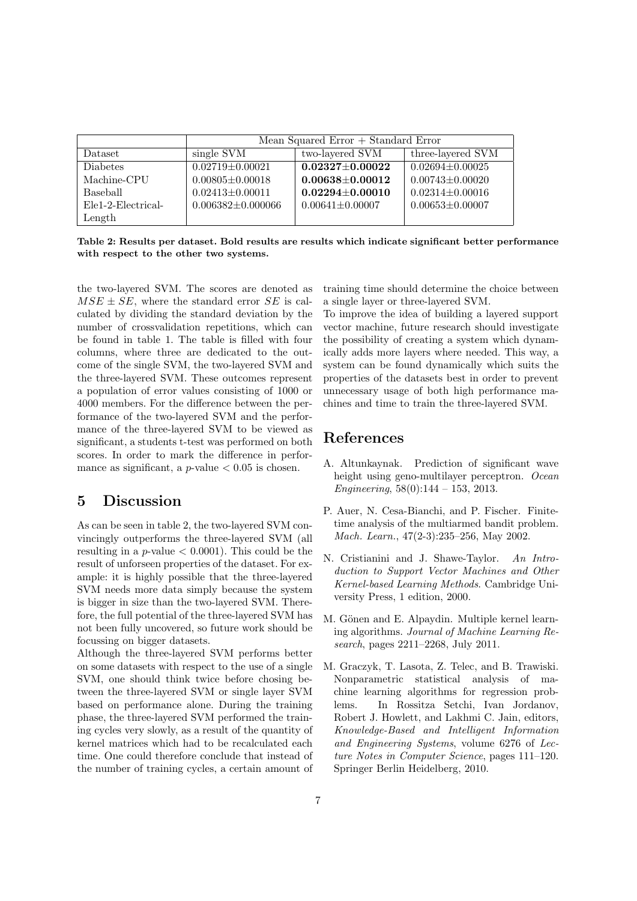|                                 | Mean Squared Error $+$ Standard Error |                       |                       |  |
|---------------------------------|---------------------------------------|-----------------------|-----------------------|--|
| <b>Dataset</b>                  | single SVM                            | two-layered SVM       | three-layered SVM     |  |
| <b>Diabetes</b>                 | $0.02719 + 0.00021$                   | $0.02327 \pm 0.00022$ | $0.02694 + 0.00025$   |  |
| Machine-CPU                     | $0.00805 + 0.00018$                   | $0.00638 + 0.00012$   | $0.00743 + 0.00020$   |  |
| Baseball                        | $0.02413 + 0.00011$                   | $0.02294 + 0.00010$   | $0.02314 + 0.00016$   |  |
| Ele <sub>1</sub> -2-Electrical- | $0.006382 \pm 0.000066$               | $0.00641 \pm 0.00007$ | $0.00653 \pm 0.00007$ |  |
| Length                          |                                       |                       |                       |  |

Table 2: Results per dataset. Bold results are results which indicate significant better performance with respect to the other two systems.

the two-layered SVM. The scores are denoted as  $MSE \pm SE$ , where the standard error SE is calculated by dividing the standard deviation by the number of crossvalidation repetitions, which can be found in table 1. The table is filled with four columns, where three are dedicated to the outcome of the single SVM, the two-layered SVM and the three-layered SVM. These outcomes represent a population of error values consisting of 1000 or 4000 members. For the difference between the performance of the two-layered SVM and the performance of the three-layered SVM to be viewed as significant, a students t-test was performed on both scores. In order to mark the difference in performance as significant, a  $p$ -value  $< 0.05$  is chosen.

# 5 Discussion

As can be seen in table 2, the two-layered SVM convincingly outperforms the three-layered SVM (all resulting in a  $p$ -value  $\lt$  0.0001). This could be the result of unforseen properties of the dataset. For example: it is highly possible that the three-layered SVM needs more data simply because the system is bigger in size than the two-layered SVM. Therefore, the full potential of the three-layered SVM has not been fully uncovered, so future work should be focussing on bigger datasets.

Although the three-layered SVM performs better on some datasets with respect to the use of a single SVM, one should think twice before chosing between the three-layered SVM or single layer SVM based on performance alone. During the training phase, the three-layered SVM performed the training cycles very slowly, as a result of the quantity of kernel matrices which had to be recalculated each time. One could therefore conclude that instead of the number of training cycles, a certain amount of training time should determine the choice between a single layer or three-layered SVM.

To improve the idea of building a layered support vector machine, future research should investigate the possibility of creating a system which dynamically adds more layers where needed. This way, a system can be found dynamically which suits the properties of the datasets best in order to prevent unnecessary usage of both high performance machines and time to train the three-layered SVM.

# References

- A. Altunkaynak. Prediction of significant wave height using geno-multilayer perceptron. Ocean Engineering,  $58(0):144 - 153$ , 2013.
- P. Auer, N. Cesa-Bianchi, and P. Fischer. Finitetime analysis of the multiarmed bandit problem. Mach. Learn., 47(2-3):235–256, May 2002.
- N. Cristianini and J. Shawe-Taylor. An Introduction to Support Vector Machines and Other Kernel-based Learning Methods. Cambridge University Press, 1 edition, 2000.
- M. Gönen and E. Alpaydin. Multiple kernel learning algorithms. Journal of Machine Learning Research, pages 2211–2268, July 2011.
- M. Graczyk, T. Lasota, Z. Telec, and B. Trawiski. Nonparametric statistical analysis of machine learning algorithms for regression problems. In Rossitza Setchi, Ivan Jordanov, Robert J. Howlett, and Lakhmi C. Jain, editors, Knowledge-Based and Intelligent Information and Engineering Systems, volume 6276 of Lecture Notes in Computer Science, pages 111–120. Springer Berlin Heidelberg, 2010.